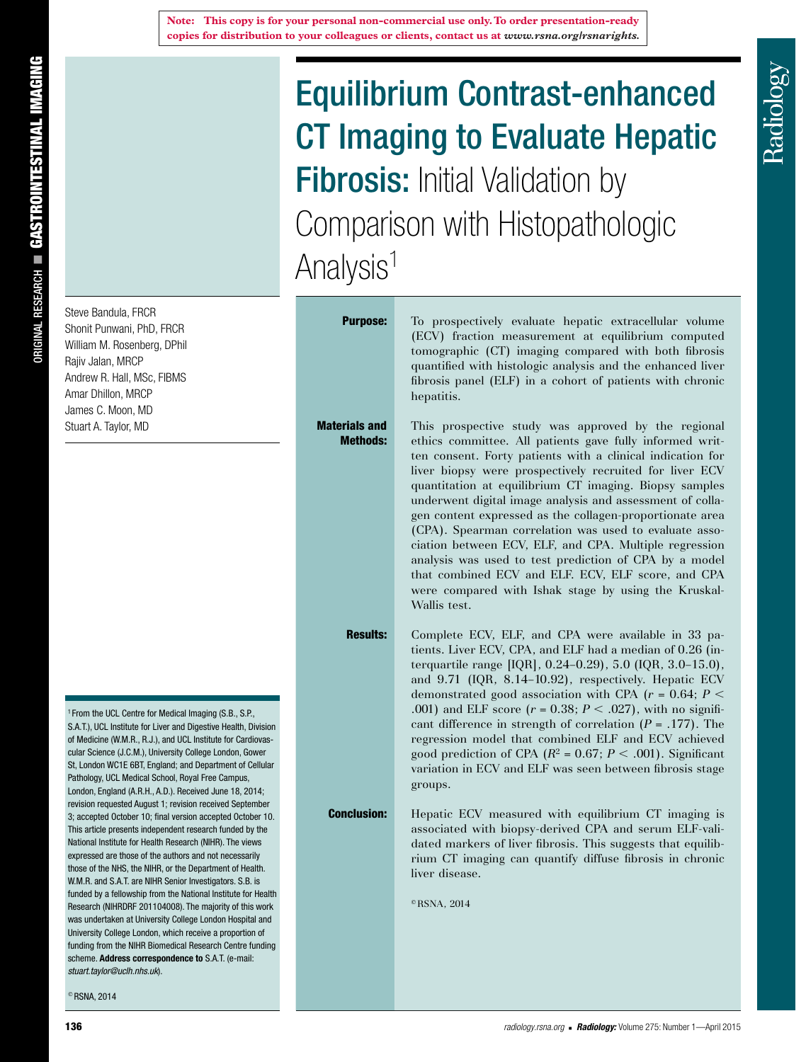# Equilibrium Contrast-enhanced CT Imaging to Evaluate Hepatic **Fibrosis:** Initial Validation by Comparison with Histopathologic Analysis<sup>1</sup>

Steve Bandula, FRCR Shonit Punwani, PhD, FRCR William M. Rosenberg, DPhil Rajiv Jalan, MRCP Andrew R. Hall, MSc, FIBMS Amar Dhillon, MRCP James C. Moon, MD Stuart A. Taylor, MD

<sup>1</sup> From the UCL Centre for Medical Imaging (S.B., S.P., S.A.T.), UCL Institute for Liver and Digestive Health, Division of Medicine (W.M.R., R.J.), and UCL Institute for Cardiovascular Science (J.C.M.), University College London, Gower St, London WC1E 6BT, England; and Department of Cellular Pathology, UCL Medical School, Royal Free Campus, London, England (A.R.H., A.D.). Received June 18, 2014; revision requested August 1; revision received September 3; accepted October 10; final version accepted October 10. This article presents independent research funded by the National Institute for Health Research (NIHR). The views expressed are those of the authors and not necessarily those of the NHS, the NIHR, or the Department of Health. W.M.R. and S.A.T. are NIHR Senior Investigators. S.B. is funded by a fellowship from the National Institute for Health Research (NIHRDRF 201104008). The majority of this work was undertaken at University College London Hospital and University College London, which receive a proportion of funding from the NIHR Biomedical Research Centre funding scheme. **Address correspondence to** S.A.T. (e-mail: *stuart.taylor@uclh.nhs.uk*).

 $^{\circ}$  RSNA, 2014

**Conclusion:** Hepatic ECV measured with equilibrium CT imaging is associated with biopsy-derived CPA and serum ELF-validated markers of liver fibrosis. This suggests that equilibrium CT imaging can quantify diffuse fibrosis in chronic liver disease.  $\textcirc$  RSNA, 2014

**Purpose:** To prospectively evaluate hepatic extracellular volume (ECV) fraction measurement at equilibrium computed tomographic (CT) imaging compared with both fibrosis quantified with histologic analysis and the enhanced liver fibrosis panel (ELF) in a cohort of patients with chronic hepatitis.

Radiology

This prospective study was approved by the regional ethics committee. All patients gave fully informed written consent. Forty patients with a clinical indication for liver biopsy were prospectively recruited for liver ECV quantitation at equilibrium CT imaging. Biopsy samples underwent digital image analysis and assessment of collagen content expressed as the collagen-proportionate area (CPA). Spearman correlation was used to evaluate association between ECV, ELF, and CPA. Multiple regression analysis was used to test prediction of CPA by a model that combined ECV and ELF. ECV, ELF score, and CPA were compared with Ishak stage by using the Kruskal-Wallis test.

tients. Liver ECV, CPA, and ELF had a median of 0.26 (interquartile range [IQR], 0.24–0.29), 5.0 (IQR, 3.0–15.0), and 9.71 (IQR, 8.14–10.92), respectively. Hepatic ECV demonstrated good association with CPA ( $r = 0.64$ ;  $P$  < .001) and ELF score  $(r = 0.38; P < .027)$ , with no significant difference in strength of correlation (*P* = .177). The regression model that combined ELF and ECV achieved good prediction of CPA  $(R^2 = 0.67; P < .001)$ . Significant variation in ECV and ELF was seen between fibrosis stage

Results: Complete ECV, ELF, and CPA were available in 33 pa-

groups.

Materials and Methods: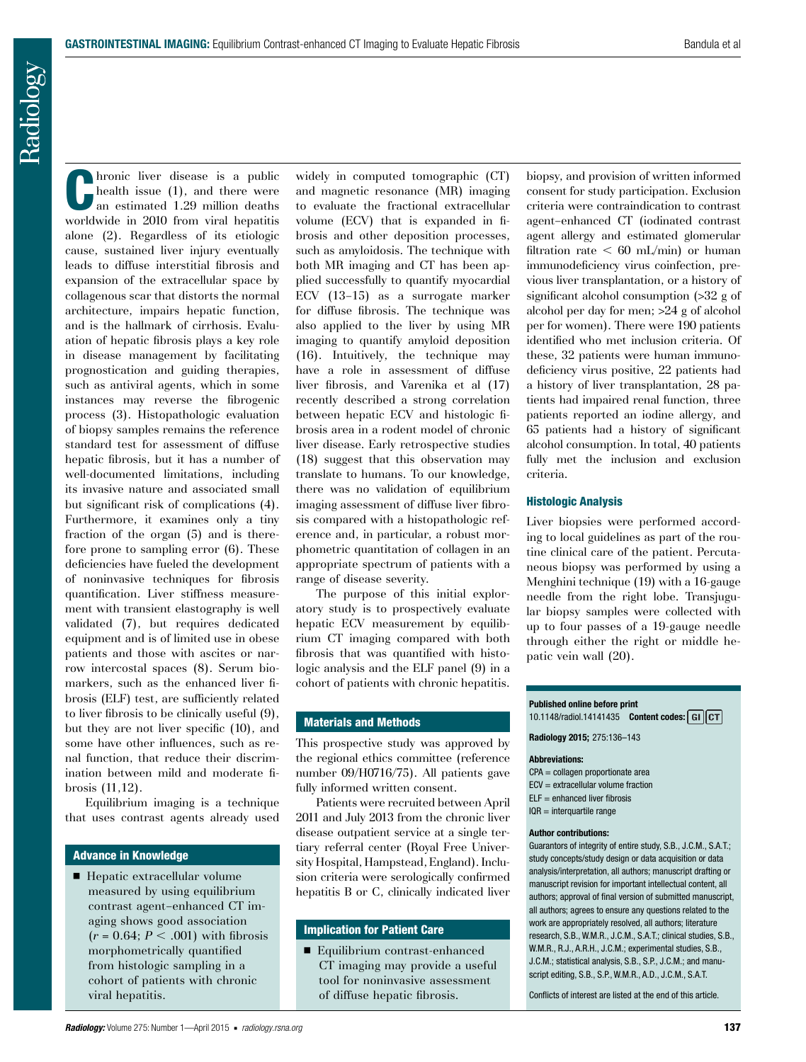Radiology

characteristic liver disease is a public health issue (1), and there were an estimated 1.29 million deaths worldwide in 2010 from viral hepatitis alone (2). Regardless of its etiologic cause, sustained liver injury eventually leads to diffuse interstitial fibrosis and expansion of the extracellular space by collagenous scar that distorts the normal architecture, impairs hepatic function, and is the hallmark of cirrhosis. Evaluation of hepatic fibrosis plays a key role in disease management by facilitating prognostication and guiding therapies, such as antiviral agents, which in some instances may reverse the fibrogenic process (3). Histopathologic evaluation of biopsy samples remains the reference standard test for assessment of diffuse hepatic fibrosis, but it has a number of well-documented limitations, including its invasive nature and associated small but significant risk of complications (4). Furthermore, it examines only a tiny fraction of the organ (5) and is therefore prone to sampling error (6). These deficiencies have fueled the development of noninvasive techniques for fibrosis quantification. Liver stiffness measurement with transient elastography is well validated (7), but requires dedicated equipment and is of limited use in obese patients and those with ascites or narrow intercostal spaces (8). Serum biomarkers, such as the enhanced liver fibrosis (ELF) test, are sufficiently related to liver fibrosis to be clinically useful (9), but they are not liver specific (10), and some have other influences, such as renal function, that reduce their discrimination between mild and moderate fibrosis (11,12).

Equilibrium imaging is a technique that uses contrast agents already used

# Advance in Knowledge

 $\blacksquare$  Hepatic extracellular volume measured by using equilibrium contrast agent–enhanced CT imaging shows good association  $(r = 0.64; P < .001)$  with fibrosis morphometrically quantified from histologic sampling in a cohort of patients with chronic viral hepatitis.

widely in computed tomographic (CT) and magnetic resonance (MR) imaging to evaluate the fractional extracellular volume (ECV) that is expanded in fibrosis and other deposition processes, such as amyloidosis. The technique with both MR imaging and CT has been applied successfully to quantify myocardial ECV (13–15) as a surrogate marker for diffuse fibrosis. The technique was also applied to the liver by using MR imaging to quantify amyloid deposition (16). Intuitively, the technique may have a role in assessment of diffuse liver fibrosis, and Varenika et al (17) recently described a strong correlation between hepatic ECV and histologic fibrosis area in a rodent model of chronic liver disease. Early retrospective studies (18) suggest that this observation may translate to humans. To our knowledge, there was no validation of equilibrium imaging assessment of diffuse liver fibrosis compared with a histopathologic reference and, in particular, a robust morphometric quantitation of collagen in an appropriate spectrum of patients with a range of disease severity.

The purpose of this initial exploratory study is to prospectively evaluate hepatic ECV measurement by equilibrium CT imaging compared with both fibrosis that was quantified with histologic analysis and the ELF panel (9) in a cohort of patients with chronic hepatitis.

# Materials and Methods

This prospective study was approved by the regional ethics committee (reference number 09/H0716/75). All patients gave fully informed written consent.

Patients were recruited between April 2011 and July 2013 from the chronic liver disease outpatient service at a single tertiary referral center (Royal Free University Hospital, Hampstead, England). Inclusion criteria were serologically confirmed hepatitis B or C, clinically indicated liver

# Implication for Patient Care

 $\blacksquare$  Equilibrium contrast-enhanced CT imaging may provide a useful tool for noninvasive assessment of diffuse hepatic fibrosis.

biopsy, and provision of written informed consent for study participation. Exclusion criteria were contraindication to contrast agent–enhanced CT (iodinated contrast agent allergy and estimated glomerular filtration rate  $< 60$  mL/min) or human immunodeficiency virus coinfection, previous liver transplantation, or a history of significant alcohol consumption (>32 g of alcohol per day for men; >24 g of alcohol per for women). There were 190 patients identified who met inclusion criteria. Of these, 32 patients were human immunodeficiency virus positive, 22 patients had a history of liver transplantation, 28 patients had impaired renal function, three patients reported an iodine allergy, and 65 patients had a history of significant alcohol consumption. In total, 40 patients fully met the inclusion and exclusion criteria.

## Histologic Analysis

Liver biopsies were performed according to local guidelines as part of the routine clinical care of the patient. Percutaneous biopsy was performed by using a Menghini technique (19) with a 16-gauge needle from the right lobe. Transjugular biopsy samples were collected with up to four passes of a 19-gauge needle through either the right or middle hepatic vein wall (20).

# **Published online before print**

10.1148/radiol.14141435 **Content codes:**

**Radiology 2015;** 275:136–143

### **Abbreviations:**

- CPA = collagen proportionate area
- ECV = extracellular volume fraction
- $FI F =$  enhanced liver fibrosis
- IQR = interquartile range

#### **Author contributions:**

Guarantors of integrity of entire study, S.B., J.C.M., S.A.T.; study concepts/study design or data acquisition or data analysis/interpretation, all authors; manuscript drafting or manuscript revision for important intellectual content, all authors; approval of final version of submitted manuscript all authors; agrees to ensure any questions related to the work are appropriately resolved, all authors; literature research, S.B., W.M.R., J.C.M., S.A.T.; clinical studies, S.B., W.M.R., R.J., A.R.H., J.C.M.; experimental studies, S.B., J.C.M.; statistical analysis, S.B., S.P., J.C.M.; and manuscript editing, S.B., S.P., W.M.R., A.D., J.C.M., S.A.T.

Conflicts of interest are listed at the end of this article.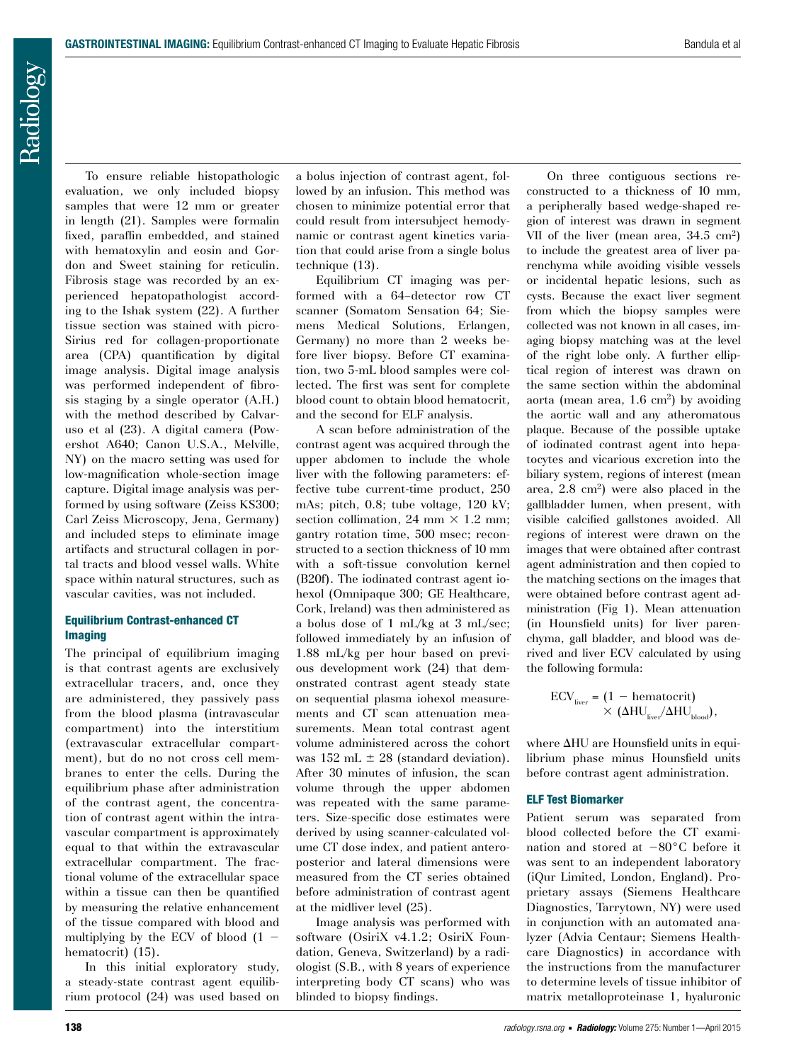Radiology

To ensure reliable histopathologic evaluation, we only included biopsy samples that were 12 mm or greater in length (21). Samples were formalin fixed, paraffin embedded, and stained with hematoxylin and eosin and Gordon and Sweet staining for reticulin. Fibrosis stage was recorded by an experienced hepatopathologist according to the Ishak system (22). A further tissue section was stained with picro-Sirius red for collagen-proportionate area (CPA) quantification by digital image analysis. Digital image analysis was performed independent of fibrosis staging by a single operator (A.H.) with the method described by Calvaruso et al (23). A digital camera (Powershot A640; Canon U.S.A., Melville, NY) on the macro setting was used for low-magnification whole-section image capture. Digital image analysis was performed by using software (Zeiss KS300; Carl Zeiss Microscopy, Jena, Germany) and included steps to eliminate image artifacts and structural collagen in portal tracts and blood vessel walls. White space within natural structures, such as vascular cavities, was not included.

# Equilibrium Contrast-enhanced CT Imaging

The principal of equilibrium imaging is that contrast agents are exclusively extracellular tracers, and, once they are administered, they passively pass from the blood plasma (intravascular compartment) into the interstitium (extravascular extracellular compartment), but do no not cross cell membranes to enter the cells. During the equilibrium phase after administration of the contrast agent, the concentration of contrast agent within the intravascular compartment is approximately equal to that within the extravascular extracellular compartment. The fractional volume of the extracellular space within a tissue can then be quantified by measuring the relative enhancement of the tissue compared with blood and multiplying by the ECV of blood  $(1$ hematocrit)  $(15)$ .

In this initial exploratory study, a steady-state contrast agent equilibrium protocol (24) was used based on a bolus injection of contrast agent, followed by an infusion. This method was chosen to minimize potential error that could result from intersubject hemodynamic or contrast agent kinetics variation that could arise from a single bolus technique (13).

Equilibrium CT imaging was performed with a 64–detector row CT scanner (Somatom Sensation 64; Siemens Medical Solutions, Erlangen, Germany) no more than 2 weeks before liver biopsy. Before CT examination, two 5-mL blood samples were collected. The first was sent for complete blood count to obtain blood hematocrit, and the second for ELF analysis.

A scan before administration of the contrast agent was acquired through the upper abdomen to include the whole liver with the following parameters: effective tube current-time product, 250 mAs; pitch, 0.8; tube voltage, 120 kV; section collimation, 24 mm  $\times$  1.2 mm; gantry rotation time, 500 msec; reconstructed to a section thickness of 10 mm with a soft-tissue convolution kernel (B20f). The iodinated contrast agent iohexol (Omnipaque 300; GE Healthcare, Cork, Ireland) was then administered as a bolus dose of 1 mL/kg at 3 mL/sec; followed immediately by an infusion of 1.88 mL/kg per hour based on previous development work (24) that demonstrated contrast agent steady state on sequential plasma iohexol measurements and CT scan attenuation measurements. Mean total contrast agent volume administered across the cohort was 152 mL  $\pm$  28 (standard deviation). After 30 minutes of infusion, the scan volume through the upper abdomen was repeated with the same parameters. Size-specific dose estimates were derived by using scanner-calculated volume CT dose index, and patient anteroposterior and lateral dimensions were measured from the CT series obtained before administration of contrast agent at the midliver level (25).

Image analysis was performed with software (OsiriX v4.1.2; OsiriX Foundation, Geneva, Switzerland) by a radiologist (S.B., with 8 years of experience interpreting body CT scans) who was blinded to biopsy findings.

On three contiguous sections reconstructed to a thickness of 10 mm, a peripherally based wedge-shaped region of interest was drawn in segment VII of the liver (mean area,  $34.5 \text{ cm}^2$ ) to include the greatest area of liver parenchyma while avoiding visible vessels or incidental hepatic lesions, such as cysts. Because the exact liver segment from which the biopsy samples were collected was not known in all cases, imaging biopsy matching was at the level of the right lobe only. A further elliptical region of interest was drawn on the same section within the abdominal aorta (mean area,  $1.6 \text{ cm}^2$ ) by avoiding the aortic wall and any atheromatous plaque. Because of the possible uptake of iodinated contrast agent into hepatocytes and vicarious excretion into the biliary system, regions of interest (mean area, 2.8 cm2) were also placed in the gallbladder lumen, when present, with visible calcified gallstones avoided. All regions of interest were drawn on the images that were obtained after contrast agent administration and then copied to the matching sections on the images that were obtained before contrast agent administration (Fig 1). Mean attenuation (in Hounsfield units) for liver parenchyma, gall bladder, and blood was derived and liver ECV calculated by using the following formula:

$$
ECVliver = (1 - hematocrit)× (ΔHUliver/ΔHUblood),
$$

where  $\Delta H U$  are Hounsfield units in equilibrium phase minus Hounsfield units before contrast agent administration.

# ELF Test Biomarker

Patient serum was separated from blood collected before the CT examination and stored at  $-80^{\circ}$ C before it was sent to an independent laboratory (iQur Limited, London, England). Proprietary assays (Siemens Healthcare Diagnostics, Tarrytown, NY) were used in conjunction with an automated analyzer (Advia Centaur; Siemens Healthcare Diagnostics) in accordance with the instructions from the manufacturer to determine levels of tissue inhibitor of matrix metalloproteinase 1, hyaluronic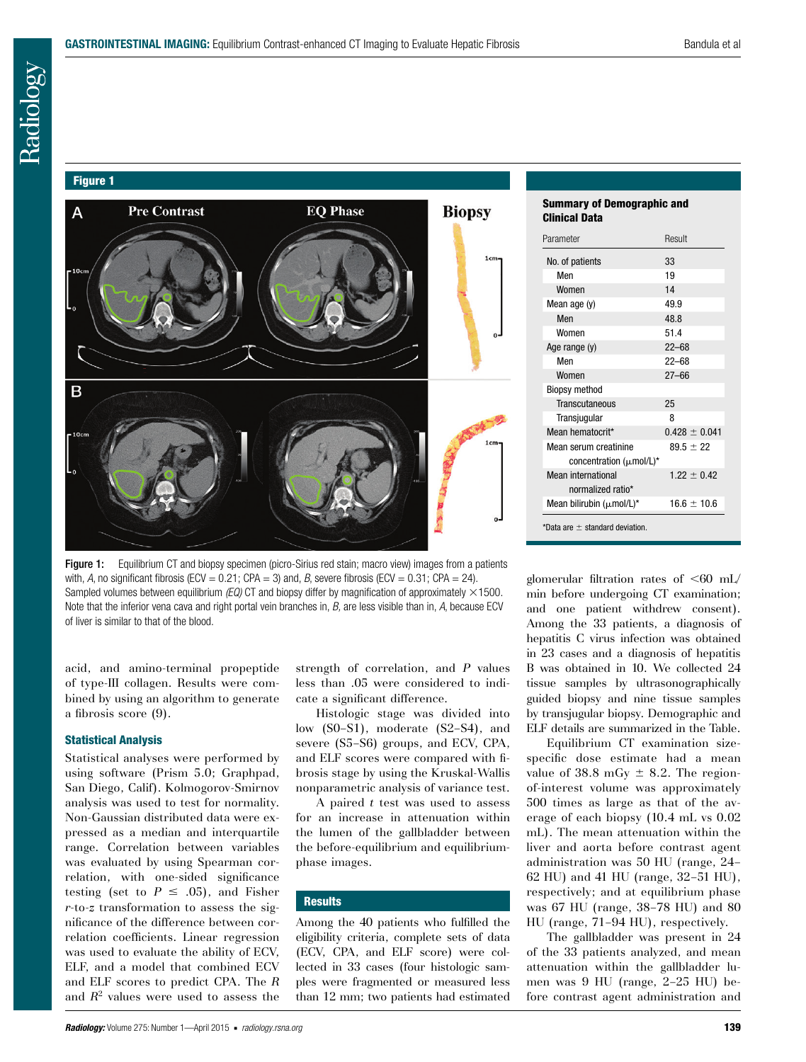# Figure 1



Figure 1: Equilibrium CT and biopsy specimen (picro-Sirius red stain; macro view) images from a patients with, A, no significant fibrosis (ECV =  $0.21$ ; CPA = 3) and, B, severe fibrosis (ECV =  $0.31$ ; CPA =  $24$ ). Sampled volumes between equilibrium *(EQ)* CT and biopsy differ by magnification of approximately  $\times$ 1500. Note that the inferior vena cava and right portal vein branches in, *B,* are less visible than in, *A*, because ECV of liver is similar to that of the blood.

acid, and amino-terminal propeptide of type-III collagen. Results were combined by using an algorithm to generate a fibrosis score (9).

# Statistical Analysis

Statistical analyses were performed by using software (Prism 5.0; Graphpad, San Diego, Calif). Kolmogorov-Smirnov analysis was used to test for normality. Non-Gaussian distributed data were expressed as a median and interquartile range. Correlation between variables was evaluated by using Spearman correlation, with one-sided significance testing (set to  $P \leq .05$ ), and Fisher *r*-to-*z* transformation to assess the significance of the difference between correlation coefficients. Linear regression was used to evaluate the ability of ECV, ELF, and a model that combined ECV and ELF scores to predict CPA. The *R* and  $R<sup>2</sup>$  values were used to assess the strength of correlation, and *P* values less than .05 were considered to indicate a significant difference.

Histologic stage was divided into low (S0–S1), moderate (S2–S4), and severe (S5–S6) groups, and ECV, CPA, and ELF scores were compared with fibrosis stage by using the Kruskal-Wallis nonparametric analysis of variance test.

A paired *t* test was used to assess for an increase in attenuation within the lumen of the gallbladder between the before-equilibrium and equilibriumphase images.

## **Results**

Among the 40 patients who fulfilled the eligibility criteria, complete sets of data (ECV, CPA, and ELF score) were collected in 33 cases (four histologic samples were fragmented or measured less than 12 mm; two patients had estimated

|                      | <b>Summary of Demographic and</b> |
|----------------------|-----------------------------------|
| <b>Clinical Data</b> |                                   |

| Parameter                            | Result            |
|--------------------------------------|-------------------|
| No. of patients                      | 33                |
| Men                                  | 19                |
| Women                                | 14                |
| Mean age (y)                         | 49.9              |
| Men                                  | 48.8              |
| Women                                | 51.4              |
| Age range (y)                        | $22 - 68$         |
| Men                                  | $22 - 68$         |
| Women                                | $27 - 66$         |
| <b>Biopsy method</b>                 |                   |
| Transcutaneous                       | 25                |
| Transjugular                         | 8                 |
| Mean hematocrit*                     | $0.428 \pm 0.041$ |
| Mean serum creatinine                | $89.5 \pm 22$     |
| concentration $(\mu \text{mol/L})^*$ |                   |
| <b>Mean international</b>            | $1.22 + 0.42$     |
| normalized ratio*                    |                   |
| Mean bilirubin ( $\mu$ mol/L)*       | $16.6 \pm 10.6$   |

glomerular filtration rates of  $<60$  mL/ min before undergoing CT examination; and one patient withdrew consent). Among the 33 patients, a diagnosis of hepatitis C virus infection was obtained in 23 cases and a diagnosis of hepatitis B was obtained in 10. We collected 24 tissue samples by ultrasonographically guided biopsy and nine tissue samples by transjugular biopsy. Demographic and ELF details are summarized in the Table.

Equilibrium CT examination sizespecific dose estimate had a mean value of 38.8 mGy  $\pm$  8.2. The regionof-interest volume was approximately 500 times as large as that of the average of each biopsy (10.4 mL vs 0.02 mL). The mean attenuation within the liver and aorta before contrast agent administration was 50 HU (range, 24– 62 HU) and 41 HU (range, 32–51 HU), respectively; and at equilibrium phase was 67 HU (range, 38–78 HU) and 80 HU (range, 71–94 HU), respectively.

The gallbladder was present in 24 of the 33 patients analyzed, and mean attenuation within the gallbladder lumen was 9 HU (range, 2–25 HU) before contrast agent administration and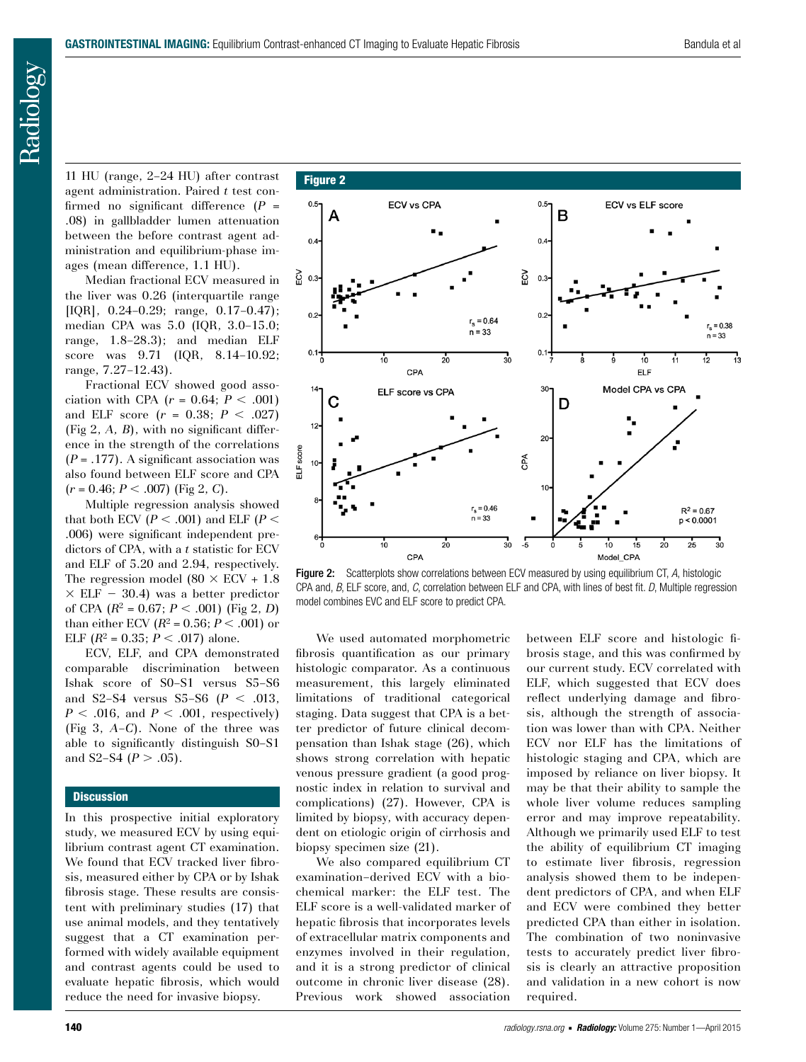11 HU (range, 2–24 HU) after contrast agent administration. Paired *t* test confirmed no significant difference (*P* = .08) in gallbladder lumen attenuation between the before contrast agent administration and equilibrium-phase images (mean difference, 1.1 HU).

Median fractional ECV measured in the liver was 0.26 (interquartile range [IQR], 0.24–0.29; range, 0.17–0.47); median CPA was 5.0 (IQR, 3.0–15.0; range, 1.8–28.3); and median ELF score was 9.71 (IQR, 8.14–10.92; range, 7.27–12.43).

Fractional ECV showed good association with CPA  $(r = 0.64; P < .001)$ and ELF score  $(r = 0.38; P < .027)$ (Fig 2, *A, B*), with no significant difference in the strength of the correlations (*P* = .177). A significant association was also found between ELF score and CPA  $(r = 0.46; P < .007)$  (Fig 2, C).

Multiple regression analysis showed that both ECV ( $P < .001$ ) and ELF ( $P <$ .006) were significant independent predictors of CPA, with a *t* statistic for ECV and ELF of 5.20 and 2.94, respectively. The regression model  $(80 \times ECV + 1.8)$  $\times$  ELF - 30.4) was a better predictor of CPA  $(R^2 = 0.67; P < .001)$  (Fig 2, *D*) than either ECV  $(R^2 = 0.56; P < .001)$  or ELF  $(R^2 = 0.35; P < .017)$  alone.

ECV, ELF, and CPA demonstrated comparable discrimination between Ishak score of S0–S1 versus S5–S6 and S2–S4 versus S5–S6  $(P < .013$ ,  $P < .016$ , and  $P < .001$ , respectively) (Fig 3, *A–C*). None of the three was able to significantly distinguish S0–S1 and S2–S4  $(P > .05)$ .

# **Discussion**

In this prospective initial exploratory study, we measured ECV by using equilibrium contrast agent CT examination. We found that ECV tracked liver fibrosis, measured either by CPA or by Ishak fibrosis stage. These results are consistent with preliminary studies (17) that use animal models, and they tentatively suggest that a CT examination performed with widely available equipment and contrast agents could be used to evaluate hepatic fibrosis, which would reduce the need for invasive biopsy.



Figure 2: Scatterplots show correlations between ECV measured by using equilibrium CT, *A*, histologic CPA and, *B*, ELF score, and, *C*, correlation between ELF and CPA, with lines of best fit. *D*, Multiple regression model combines EVC and ELF score to predict CPA.

We used automated morphometric fibrosis quantification as our primary histologic comparator. As a continuous measurement, this largely eliminated limitations of traditional categorical staging. Data suggest that CPA is a better predictor of future clinical decompensation than Ishak stage (26), which shows strong correlation with hepatic venous pressure gradient (a good prognostic index in relation to survival and complications) (27). However, CPA is limited by biopsy, with accuracy dependent on etiologic origin of cirrhosis and biopsy specimen size (21).

We also compared equilibrium CT examination–derived ECV with a biochemical marker: the ELF test. The ELF score is a well-validated marker of hepatic fibrosis that incorporates levels of extracellular matrix components and enzymes involved in their regulation, and it is a strong predictor of clinical outcome in chronic liver disease (28). Previous work showed association between ELF score and histologic fibrosis stage, and this was confirmed by our current study. ECV correlated with ELF, which suggested that ECV does reflect underlying damage and fibrosis, although the strength of association was lower than with CPA. Neither ECV nor ELF has the limitations of histologic staging and CPA, which are imposed by reliance on liver biopsy. It may be that their ability to sample the whole liver volume reduces sampling error and may improve repeatability. Although we primarily used ELF to test the ability of equilibrium CT imaging to estimate liver fibrosis, regression analysis showed them to be independent predictors of CPA, and when ELF and ECV were combined they better predicted CPA than either in isolation. The combination of two noninvasive tests to accurately predict liver fibrosis is clearly an attractive proposition and validation in a new cohort is now required.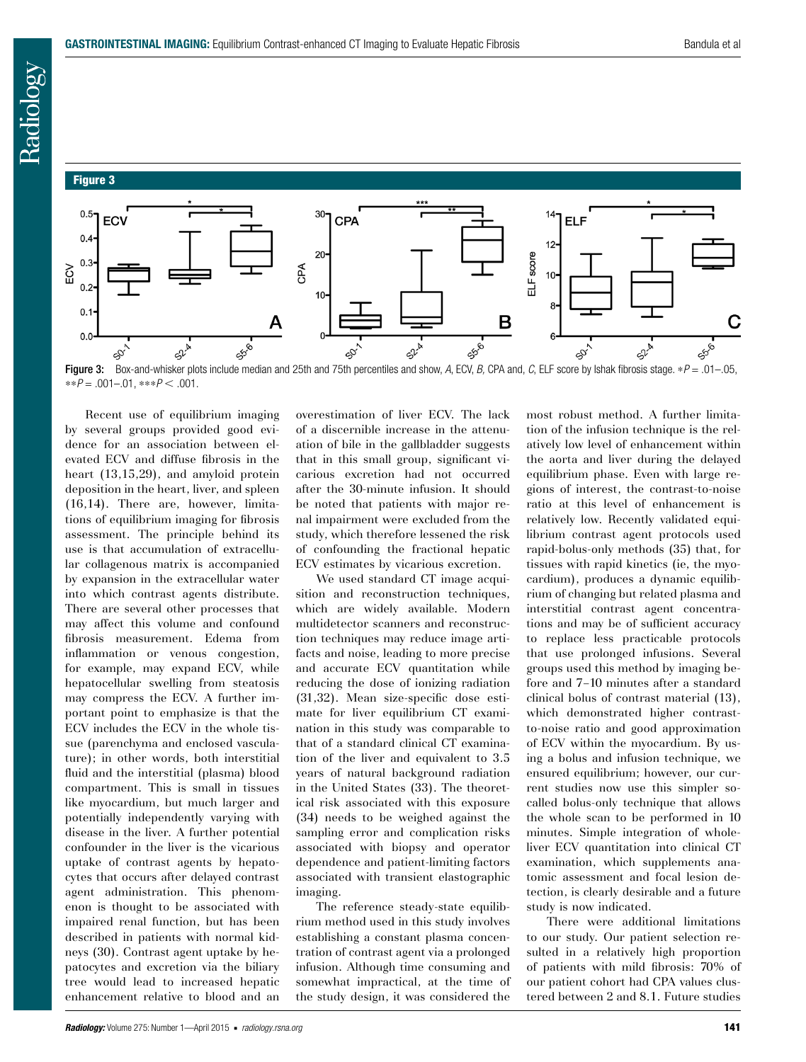# Figure 3



 $*P = .001 - .01$ ,  $*P < .001$ .

Recent use of equilibrium imaging by several groups provided good evidence for an association between elevated ECV and diffuse fibrosis in the heart (13,15,29), and amyloid protein deposition in the heart, liver, and spleen (16,14). There are, however, limitations of equilibrium imaging for fibrosis assessment. The principle behind its use is that accumulation of extracellular collagenous matrix is accompanied by expansion in the extracellular water into which contrast agents distribute. There are several other processes that may affect this volume and confound fibrosis measurement. Edema from inflammation or venous congestion, for example, may expand ECV, while hepatocellular swelling from steatosis may compress the ECV. A further important point to emphasize is that the ECV includes the ECV in the whole tissue (parenchyma and enclosed vasculature); in other words, both interstitial fluid and the interstitial (plasma) blood compartment. This is small in tissues like myocardium, but much larger and potentially independently varying with disease in the liver. A further potential confounder in the liver is the vicarious uptake of contrast agents by hepatocytes that occurs after delayed contrast agent administration. This phenomenon is thought to be associated with impaired renal function, but has been described in patients with normal kidneys (30). Contrast agent uptake by hepatocytes and excretion via the biliary tree would lead to increased hepatic enhancement relative to blood and an overestimation of liver ECV. The lack of a discernible increase in the attenuation of bile in the gallbladder suggests that in this small group, significant vicarious excretion had not occurred after the 30-minute infusion. It should be noted that patients with major renal impairment were excluded from the study, which therefore lessened the risk of confounding the fractional hepatic ECV estimates by vicarious excretion.

We used standard CT image acquisition and reconstruction techniques, which are widely available. Modern multidetector scanners and reconstruction techniques may reduce image artifacts and noise, leading to more precise and accurate ECV quantitation while reducing the dose of ionizing radiation (31,32). Mean size-specific dose estimate for liver equilibrium CT examination in this study was comparable to that of a standard clinical CT examination of the liver and equivalent to 3.5 years of natural background radiation in the United States (33). The theoretical risk associated with this exposure (34) needs to be weighed against the sampling error and complication risks associated with biopsy and operator dependence and patient-limiting factors associated with transient elastographic imaging.

The reference steady-state equilibrium method used in this study involves establishing a constant plasma concentration of contrast agent via a prolonged infusion. Although time consuming and somewhat impractical, at the time of the study design, it was considered the most robust method. A further limitation of the infusion technique is the relatively low level of enhancement within the aorta and liver during the delayed equilibrium phase. Even with large regions of interest, the contrast-to-noise ratio at this level of enhancement is relatively low. Recently validated equilibrium contrast agent protocols used rapid-bolus-only methods (35) that, for tissues with rapid kinetics (ie, the myocardium), produces a dynamic equilibrium of changing but related plasma and interstitial contrast agent concentrations and may be of sufficient accuracy to replace less practicable protocols that use prolonged infusions. Several groups used this method by imaging before and 7–10 minutes after a standard clinical bolus of contrast material (13), which demonstrated higher contrastto-noise ratio and good approximation of ECV within the myocardium. By using a bolus and infusion technique, we ensured equilibrium; however, our current studies now use this simpler socalled bolus-only technique that allows the whole scan to be performed in 10 minutes. Simple integration of wholeliver ECV quantitation into clinical CT examination, which supplements anatomic assessment and focal lesion detection, is clearly desirable and a future study is now indicated.

There were additional limitations to our study. Our patient selection resulted in a relatively high proportion of patients with mild fibrosis: 70% of our patient cohort had CPA values clustered between 2 and 8.1. Future studies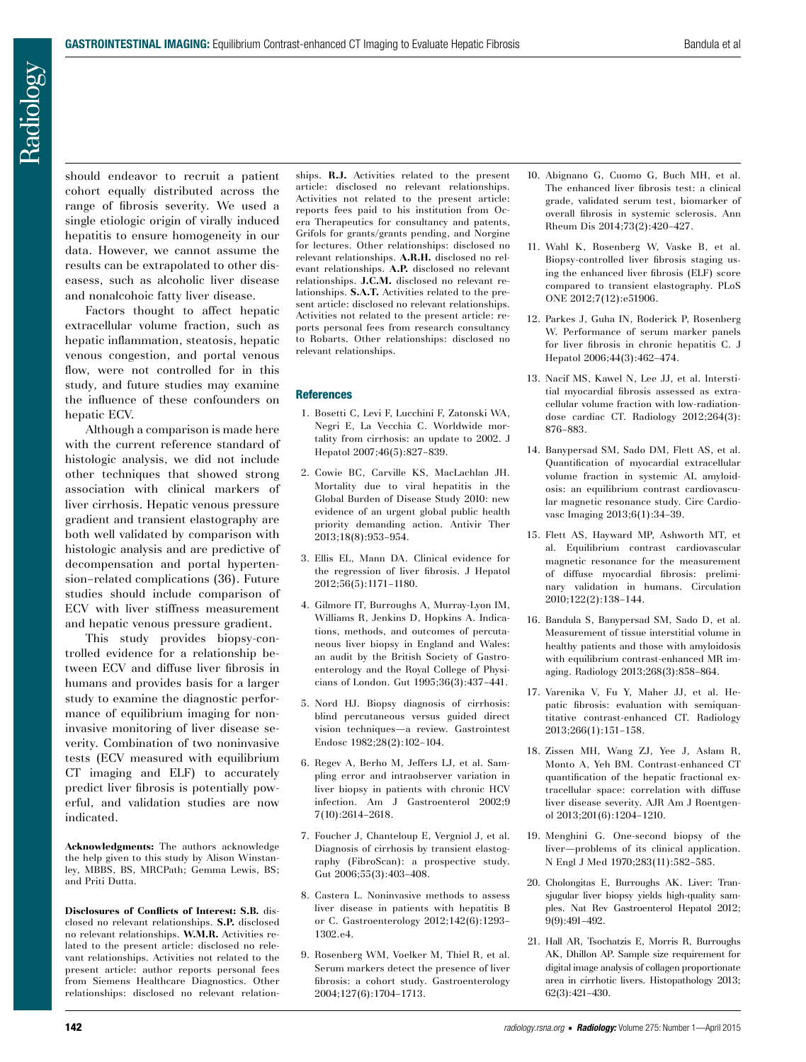Radiology

should endeavor to recruit a patient cohort equally distributed across the range of fibrosis severity. We used a single etiologic origin of virally induced hepatitis to ensure homogeneity in our data. However, we cannot assume the results can be extrapolated to other diseasess, such as alcoholic liver disease and nonalcohoic fatty liver disease.

Factors thought to affect hepatic extracellular volume fraction, such as hepatic inflammation, steatosis, hepatic venous congestion, and portal venous flow, were not controlled for in this study, and future studies may examine the influence of these confounders on hepatic ECV.

Although a comparison is made here with the current reference standard of histologic analysis, we did not include other techniques that showed strong association with clinical markers of liver cirrhosis. Hepatic venous pressure gradient and transient elastography are both well validated by comparison with histologic analysis and are predictive of decompensation and portal hypertension–related complications (36). Future studies should include comparison of ECV with liver stiffness measurement and hepatic venous pressure gradient.

This study provides biopsy-controlled evidence for a relationship between ECV and diffuse liver fibrosis in humans and provides basis for a larger study to examine the diagnostic performance of equilibrium imaging for noninvasive monitoring of liver disease severity. Combination of two noninvasive tests (ECV measured with equilibrium CT imaging and ELF) to accurately predict liver fibrosis is potentially powerful, and validation studies are now indicated.

**Acknowledgments:** The authors acknowledge the help given to this study by Alison Winstanley, MBBS, BS, MRCPath; Gemma Lewis, BS; and Priti Dutta.

**Disclosures of Conflicts of Interest: S.B.** disclosed no relevant relationships. **S.P.** disclosed no relevant relationships. **W.M.R.** Activities related to the present article: disclosed no relevant relationships. Activities not related to the present article: author reports personal fees from Siemens Healthcare Diagnostics. Other relationships: disclosed no relevant relationships. **R.J.** Activities related to the present article: disclosed no relevant relationships. Activities not related to the present article: reports fees paid to his institution from Ocera Therapeutics for consultancy and patents, Grifols for grants/grants pending, and Norgine for lectures. Other relationships: disclosed no relevant relationships. **A.R.H.** disclosed no relevant relationships. **A.P.** disclosed no relevant relationships. **J.C.M.** disclosed no relevant relationships. **S.A.T.** Activities related to the present article: disclosed no relevant relationships. Activities not related to the present article: reports personal fees from research consultancy to Robarts. Other relationships: disclosed no relevant relationships.

# **References**

- 1. Bosetti C, Levi F, Lucchini F, Zatonski WA, Negri E, La Vecchia C. Worldwide mortality from cirrhosis: an update to 2002. J Hepatol 2007;46(5):827–839.
- 2. Cowie BC, Carville KS, MacLachlan JH. Mortality due to viral hepatitis in the Global Burden of Disease Study 2010: new evidence of an urgent global public health priority demanding action. Antivir Ther 2013;18(8):953–954.
- 3. Ellis EL, Mann DA. Clinical evidence for the regression of liver fibrosis. J Hepatol 2012;56(5):1171–1180.
- 4. Gilmore IT, Burroughs A, Murray-Lyon IM, Williams R, Jenkins D, Hopkins A. Indications, methods, and outcomes of percutaneous liver biopsy in England and Wales: an audit by the British Society of Gastroenterology and the Royal College of Physicians of London. Gut 1995;36(3):437–441.
- 5. Nord HJ. Biopsy diagnosis of cirrhosis: blind percutaneous versus guided direct vision techniques—a review. Gastrointest Endosc 1982;28(2):102–104.
- 6. Regev A, Berho M, Jeffers LJ, et al. Sampling error and intraobserver variation in liver biopsy in patients with chronic HCV infection. Am J Gastroenterol 2002;9 7(10):2614–2618.
- 7. Foucher J, Chanteloup E, Vergniol J, et al. Diagnosis of cirrhosis by transient elastography (FibroScan): a prospective study. Gut 2006;55(3):403–408.
- 8. Castera L. Noninvasive methods to assess liver disease in patients with hepatitis B or C. Gastroenterology 2012;142(6):1293– 1302.e4.
- 9. Rosenberg WM, Voelker M, Thiel R, et al. Serum markers detect the presence of liver fibrosis: a cohort study. Gastroenterology 2004;127(6):1704–1713.
- 10. Abignano G, Cuomo G, Buch MH, et al. The enhanced liver fibrosis test: a clinical grade, validated serum test, biomarker of overall fibrosis in systemic sclerosis. Ann Rheum Dis 2014;73(2):420–427.
- 11. Wahl K, Rosenberg W, Vaske B, et al. Biopsy-controlled liver fibrosis staging using the enhanced liver fibrosis (ELF) score compared to transient elastography. PLoS ONE 2012;7(12):e51906.
- 12. Parkes J, Guha IN, Roderick P, Rosenberg W. Performance of serum marker panels for liver fibrosis in chronic hepatitis C. J Hepatol 2006;44(3):462–474.
- 13. Nacif MS, Kawel N, Lee JJ, et al. Interstitial myocardial fibrosis assessed as extracellular volume fraction with low-radiationdose cardiac CT. Radiology 2012;264(3): 876–883.
- 14. Banypersad SM, Sado DM, Flett AS, et al. Quantification of myocardial extracellular volume fraction in systemic AL amyloidosis: an equilibrium contrast cardiovascular magnetic resonance study. Circ Cardiovasc Imaging 2013;6(1):34–39.
- 15. Flett AS, Hayward MP, Ashworth MT, et al. Equilibrium contrast cardiovascular magnetic resonance for the measurement of diffuse myocardial fibrosis: preliminary validation in humans. Circulation 2010;122(2):138–144.
- 16. Bandula S, Banypersad SM, Sado D, et al. Measurement of tissue interstitial volume in healthy patients and those with amyloidosis with equilibrium contrast-enhanced MR imaging. Radiology 2013;268(3):858–864.
- 17. Varenika V, Fu Y, Maher JJ, et al. Hepatic fibrosis: evaluation with semiquantitative contrast-enhanced CT. Radiology 2013;266(1):151–158.
- 18. Zissen MH, Wang ZJ, Yee J, Aslam R, Monto A, Yeh BM. Contrast-enhanced CT quantification of the hepatic fractional extracellular space: correlation with diffuse liver disease severity. AJR Am J Roentgenol 2013;201(6):1204–1210.
- 19. Menghini G. One-second biopsy of the liver—problems of its clinical application. N Engl J Med 1970;283(11):582–585.
- 20. Cholongitas E, Burroughs AK. Liver: Transjugular liver biopsy yields high-quality samples. Nat Rev Gastroenterol Hepatol 2012; 9(9):491–492.
- 21. Hall AR, Tsochatzis E, Morris R, Burroughs AK, Dhillon AP. Sample size requirement for digital image analysis of collagen proportionate area in cirrhotic livers. Histopathology 2013; 62(3):421–430.